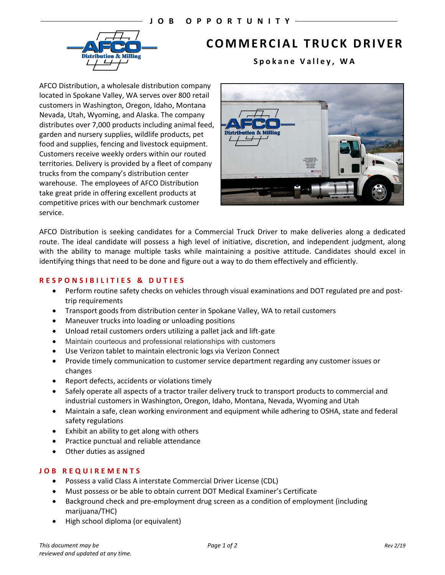

# **COMMERCIAL TRUCK DRIVER**

**Spokane Valley , WA**

AFCO Distribution, a wholesale distribution company located in Spokane Valley, WA serves over 800 retail customers in Washington, Oregon, Idaho, Montana Nevada, Utah, Wyoming, and Alaska. The company distributes over 7,000 products including animal feed, garden and nursery supplies, wildlife products, pet food and supplies, fencing and livestock equipment. Customers receive weekly orders within our routed territories. Delivery is provided by a fleet of company trucks from the company's distribution center warehouse. The employees of AFCO Distribution take great pride in offering excellent products at competitive prices with our benchmark customer service.



AFCO Distribution is seeking candidates for a Commercial Truck Driver to make deliveries along a dedicated route. The ideal candidate will possess a high level of initiative, discretion, and independent judgment, along with the ability to manage multiple tasks while maintaining a positive attitude. Candidates should excel in identifying things that need to be done and figure out a way to do them effectively and efficiently.

## **RESPONSIBILITIES & DUTIES**

- Perform routine safety checks on vehicles through visual examinations and DOT regulated pre and posttrip requirements
- Transport goods from distribution center in Spokane Valley, WA to retail customers
- Maneuver trucks into loading or unloading positions
- Unload retail customers orders utilizing a pallet jack and lift-gate
- Maintain courteous and professional relationships with customers
- Use Verizon tablet to maintain electronic logs via Verizon Connect
- Provide timely communication to customer service department regarding any customer issues or changes
- Report defects, accidents or violations timely
- Safely operate all aspects of a tractor trailer delivery truck to transport products to commercial and industrial customers in Washington, Oregon, Idaho, Montana, Nevada, Wyoming and Utah
- Maintain a safe, clean working environment and equipment while adhering to OSHA, state and federal safety regulations
- Exhibit an ability to get along with others
- Practice punctual and reliable attendance
- Other duties as assigned

## **JOB REQUIREMENTS**

- Possess a valid Class A interstate Commercial Driver License (CDL)
- Must possess or be able to obtain current DOT Medical Examiner's Certificate
- Background check and pre-employment drug screen as a condition of employment (including marijuana/THC)
- High school diploma (or equivalent)